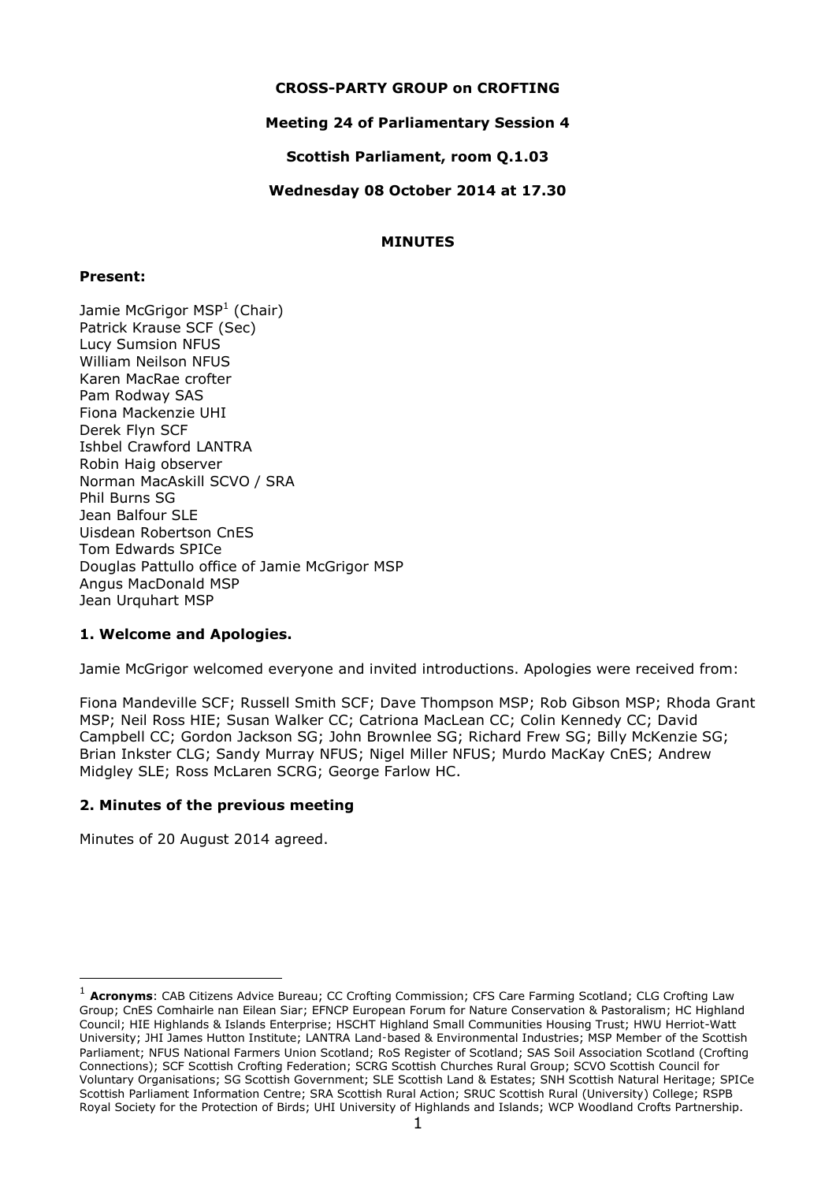## **CROSS-PARTY GROUP on CROFTING**

# **Meeting 24 of Parliamentary Session 4**

**Scottish Parliament, room Q.1.03**

## **Wednesday 08 October 2014 at 17.30**

# **MINUTES**

#### **Present:**

Jamie McGrigor MSP<sup>1</sup> (Chair) Patrick Krause SCF (Sec) Lucy Sumsion NFUS William Neilson NFUS Karen MacRae crofter Pam Rodway SAS Fiona Mackenzie UHI Derek Flyn SCF Ishbel Crawford LANTRA Robin Haig observer Norman MacAskill SCVO / SRA Phil Burns SG Jean Balfour SLF Uisdean Robertson CnES Tom Edwards SPICe Douglas Pattullo office of Jamie McGrigor MSP Angus MacDonald MSP Jean Urquhart MSP

# **1. Welcome and Apologies.**

Jamie McGrigor welcomed everyone and invited introductions. Apologies were received from:

Fiona Mandeville SCF; Russell Smith SCF; Dave Thompson MSP; Rob Gibson MSP; Rhoda Grant MSP; Neil Ross HIE; Susan Walker CC; Catriona MacLean CC; Colin Kennedy CC; David Campbell CC; Gordon Jackson SG; John Brownlee SG; Richard Frew SG; Billy McKenzie SG; Brian Inkster CLG; Sandy Murray NFUS; Nigel Miller NFUS; Murdo MacKay CnES; Andrew Midgley SLE; Ross McLaren SCRG; George Farlow HC.

# **2. Minutes of the previous meeting**

Minutes of 20 August 2014 agreed.

-

<sup>1</sup> **Acronyms**: CAB Citizens Advice Bureau; CC Crofting Commission; CFS Care Farming Scotland; CLG Crofting Law Group; CnES Comhairle nan Eilean Siar; EFNCP European Forum for Nature Conservation & Pastoralism; HC Highland Council; HIE Highlands & Islands Enterprise; HSCHT Highland Small Communities Housing Trust; HWU Herriot-Watt University; JHI James Hutton Institute; LANTRA Land‑based & Environmental Industries; MSP Member of the Scottish Parliament; NFUS National Farmers Union Scotland; RoS Register of Scotland; SAS Soil Association Scotland (Crofting Connections); SCF Scottish Crofting Federation; SCRG Scottish Churches Rural Group; SCVO Scottish Council for Voluntary Organisations; SG Scottish Government; SLE Scottish Land & Estates; SNH Scottish Natural Heritage; SPICe Scottish Parliament Information Centre; SRA Scottish Rural Action; SRUC Scottish Rural (University) College; RSPB Royal Society for the Protection of Birds; UHI University of Highlands and Islands; WCP Woodland Crofts Partnership.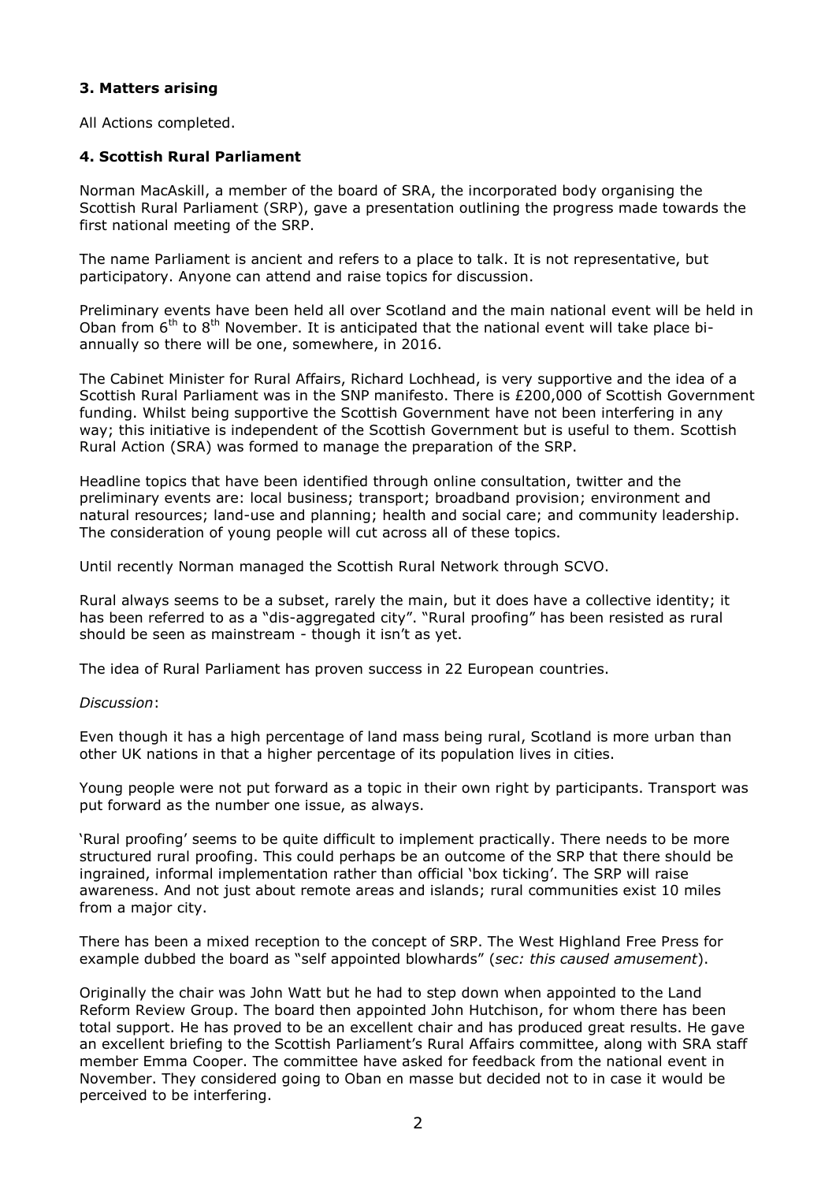# **3. Matters arising**

All Actions completed.

# **4. Scottish Rural Parliament**

Norman MacAskill, a member of the board of SRA, the incorporated body organising the Scottish Rural Parliament (SRP), gave a presentation outlining the progress made towards the first national meeting of the SRP.

The name Parliament is ancient and refers to a place to talk. It is not representative, but participatory. Anyone can attend and raise topics for discussion.

Preliminary events have been held all over Scotland and the main national event will be held in Oban from  $6<sup>th</sup>$  to  $8<sup>th</sup>$  November. It is anticipated that the national event will take place biannually so there will be one, somewhere, in 2016.

The Cabinet Minister for Rural Affairs, Richard Lochhead, is very supportive and the idea of a Scottish Rural Parliament was in the SNP manifesto. There is £200,000 of Scottish Government funding. Whilst being supportive the Scottish Government have not been interfering in any way; this initiative is independent of the Scottish Government but is useful to them. Scottish Rural Action (SRA) was formed to manage the preparation of the SRP.

Headline topics that have been identified through online consultation, twitter and the preliminary events are: local business; transport; broadband provision; environment and natural resources; land-use and planning; health and social care; and community leadership. The consideration of young people will cut across all of these topics.

Until recently Norman managed the Scottish Rural Network through SCVO.

Rural always seems to be a subset, rarely the main, but it does have a collective identity; it has been referred to as a "dis-aggregated city". "Rural proofing" has been resisted as rural should be seen as mainstream - though it isn't as yet.

The idea of Rural Parliament has proven success in 22 European countries.

#### *Discussion*:

Even though it has a high percentage of land mass being rural, Scotland is more urban than other UK nations in that a higher percentage of its population lives in cities.

Young people were not put forward as a topic in their own right by participants. Transport was put forward as the number one issue, as always.

'Rural proofing' seems to be quite difficult to implement practically. There needs to be more structured rural proofing. This could perhaps be an outcome of the SRP that there should be ingrained, informal implementation rather than official 'box ticking'. The SRP will raise awareness. And not just about remote areas and islands; rural communities exist 10 miles from a major city.

There has been a mixed reception to the concept of SRP. The West Highland Free Press for example dubbed the board as "self appointed blowhards" (*sec: this caused amusement*).

Originally the chair was John Watt but he had to step down when appointed to the Land Reform Review Group. The board then appointed John Hutchison, for whom there has been total support. He has proved to be an excellent chair and has produced great results. He gave an excellent briefing to the Scottish Parliament's Rural Affairs committee, along with SRA staff member Emma Cooper. The committee have asked for feedback from the national event in November. They considered going to Oban en masse but decided not to in case it would be perceived to be interfering.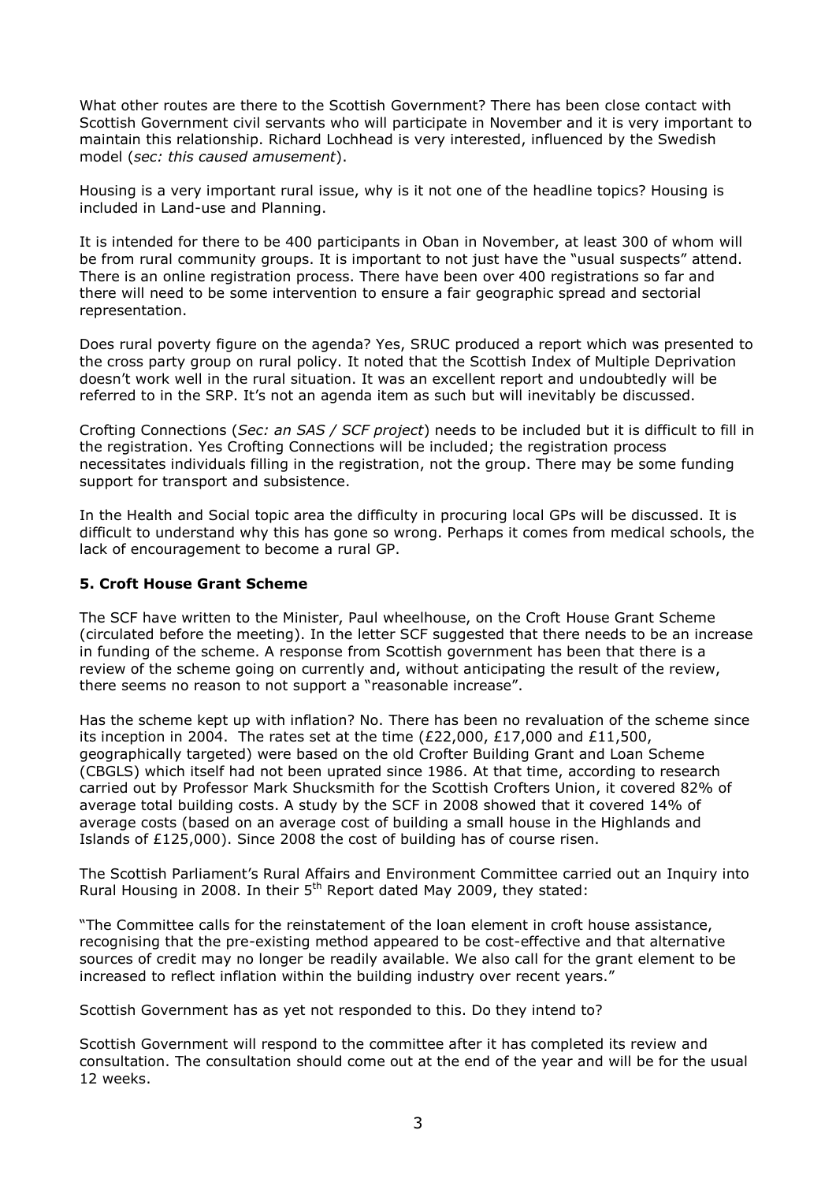What other routes are there to the Scottish Government? There has been close contact with Scottish Government civil servants who will participate in November and it is very important to maintain this relationship. Richard Lochhead is very interested, influenced by the Swedish model (*sec: this caused amusement*).

Housing is a very important rural issue, why is it not one of the headline topics? Housing is included in Land-use and Planning.

It is intended for there to be 400 participants in Oban in November, at least 300 of whom will be from rural community groups. It is important to not just have the "usual suspects" attend. There is an online registration process. There have been over 400 registrations so far and there will need to be some intervention to ensure a fair geographic spread and sectorial representation.

Does rural poverty figure on the agenda? Yes, SRUC produced a report which was presented to the cross party group on rural policy. It noted that the Scottish Index of Multiple Deprivation doesn't work well in the rural situation. It was an excellent report and undoubtedly will be referred to in the SRP. It's not an agenda item as such but will inevitably be discussed.

Crofting Connections (*Sec: an SAS / SCF project*) needs to be included but it is difficult to fill in the registration. Yes Crofting Connections will be included; the registration process necessitates individuals filling in the registration, not the group. There may be some funding support for transport and subsistence.

In the Health and Social topic area the difficulty in procuring local GPs will be discussed. It is difficult to understand why this has gone so wrong. Perhaps it comes from medical schools, the lack of encouragement to become a rural GP.

## **5. Croft House Grant Scheme**

The SCF have written to the Minister, Paul wheelhouse, on the Croft House Grant Scheme (circulated before the meeting). In the letter SCF suggested that there needs to be an increase in funding of the scheme. A response from Scottish government has been that there is a review of the scheme going on currently and, without anticipating the result of the review, there seems no reason to not support a "reasonable increase".

Has the scheme kept up with inflation? No. There has been no revaluation of the scheme since its inception in 2004. The rates set at the time (£22,000, £17,000 and £11,500, geographically targeted) were based on the old Crofter Building Grant and Loan Scheme (CBGLS) which itself had not been uprated since 1986. At that time, according to research carried out by Professor Mark Shucksmith for the Scottish Crofters Union, it covered 82% of average total building costs. A study by the SCF in 2008 showed that it covered 14% of average costs (based on an average cost of building a small house in the Highlands and Islands of £125,000). Since 2008 the cost of building has of course risen.

The Scottish Parliament's Rural Affairs and Environment Committee carried out an Inquiry into Rural Housing in 2008. In their 5<sup>th</sup> Report dated May 2009, they stated:

"The Committee calls for the reinstatement of the loan element in croft house assistance, recognising that the pre-existing method appeared to be cost-effective and that alternative sources of credit may no longer be readily available. We also call for the grant element to be increased to reflect inflation within the building industry over recent years."

Scottish Government has as yet not responded to this. Do they intend to?

Scottish Government will respond to the committee after it has completed its review and consultation. The consultation should come out at the end of the year and will be for the usual 12 weeks.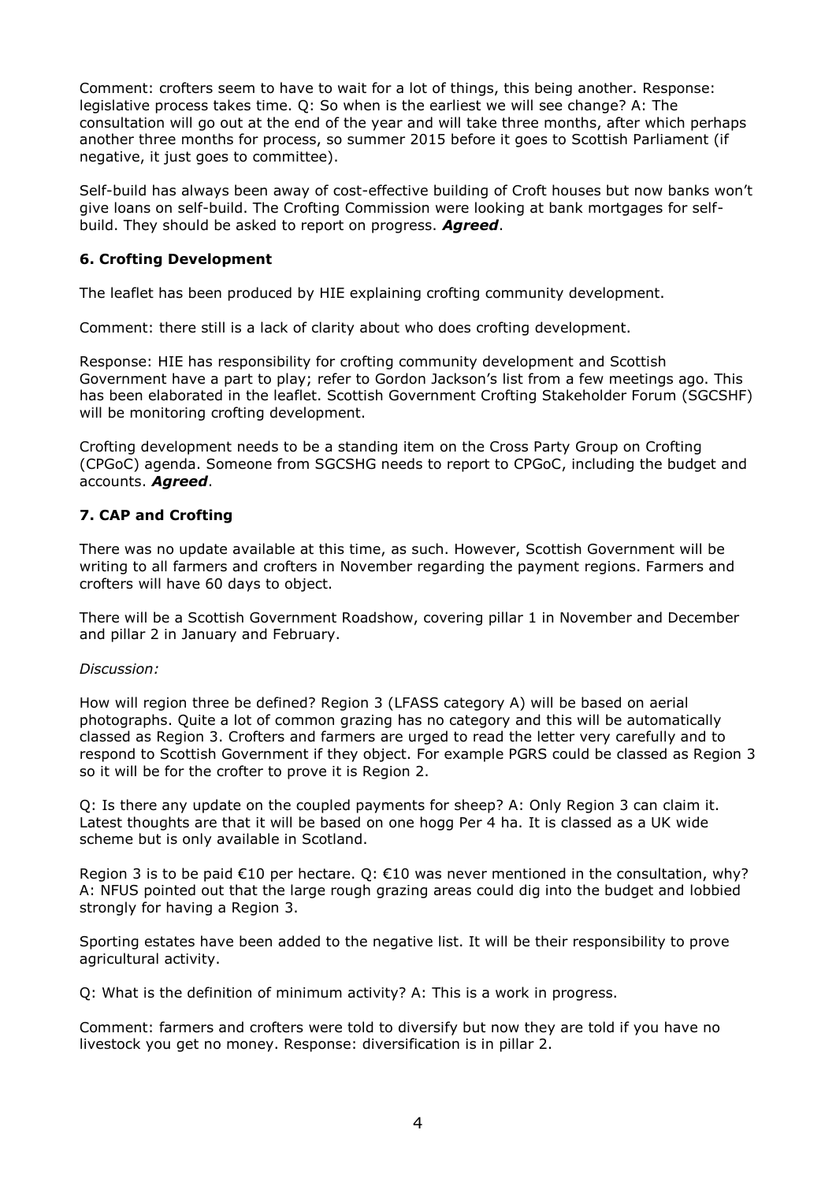Comment: crofters seem to have to wait for a lot of things, this being another. Response: legislative process takes time. Q: So when is the earliest we will see change? A: The consultation will go out at the end of the year and will take three months, after which perhaps another three months for process, so summer 2015 before it goes to Scottish Parliament (if negative, it just goes to committee).

Self-build has always been away of cost-effective building of Croft houses but now banks won't give loans on self-build. The Crofting Commission were looking at bank mortgages for selfbuild. They should be asked to report on progress. *Agreed*.

# **6. Crofting Development**

The leaflet has been produced by HIE explaining crofting community development.

Comment: there still is a lack of clarity about who does crofting development.

Response: HIE has responsibility for crofting community development and Scottish Government have a part to play; refer to Gordon Jackson's list from a few meetings ago. This has been elaborated in the leaflet. Scottish Government Crofting Stakeholder Forum (SGCSHF) will be monitoring crofting development.

Crofting development needs to be a standing item on the Cross Party Group on Crofting (CPGoC) agenda. Someone from SGCSHG needs to report to CPGoC, including the budget and accounts. *Agreed*.

# **7. CAP and Crofting**

There was no update available at this time, as such. However, Scottish Government will be writing to all farmers and crofters in November regarding the payment regions. Farmers and crofters will have 60 days to object.

There will be a Scottish Government Roadshow, covering pillar 1 in November and December and pillar 2 in January and February.

# *Discussion:*

How will region three be defined? Region 3 (LFASS category A) will be based on aerial photographs. Quite a lot of common grazing has no category and this will be automatically classed as Region 3. Crofters and farmers are urged to read the letter very carefully and to respond to Scottish Government if they object. For example PGRS could be classed as Region 3 so it will be for the crofter to prove it is Region 2.

Q: Is there any update on the coupled payments for sheep? A: Only Region 3 can claim it. Latest thoughts are that it will be based on one hogg Per 4 ha. It is classed as a UK wide scheme but is only available in Scotland.

Region 3 is to be paid  $\epsilon$ 10 per hectare. Q:  $\epsilon$ 10 was never mentioned in the consultation, why? A: NFUS pointed out that the large rough grazing areas could dig into the budget and lobbied strongly for having a Region 3.

Sporting estates have been added to the negative list. It will be their responsibility to prove agricultural activity.

Q: What is the definition of minimum activity? A: This is a work in progress.

Comment: farmers and crofters were told to diversify but now they are told if you have no livestock you get no money. Response: diversification is in pillar 2.